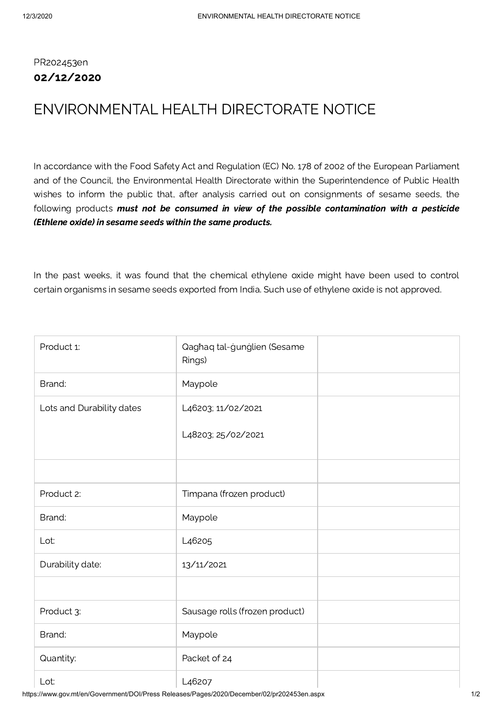## PR202453en 02/12/2020

## ENVIRONMENTAL HEALTH DIRECTORATE NOTICE

In accordance with the Food Safety Act and Regulation (EC) No. 178 of 2002 of the European Parliament and of the Council, the Environmental Health Directorate within the Superintendence of Public Health wishes to inform the public that, after analysis carried out on consignments of sesame seeds, the following products must not be consumed in view of the possible contamination with a pesticide (Ethlene oxide) in sesame seeds within the same products.

In the past weeks, it was found that the chemical ethylene oxide might have been used to control certain organisms in sesame seeds exported from India. Such use of ethylene oxide is not approved.

| Product 1:                | Qaghaq tal-gunglien (Sesame<br>Rings) |  |
|---------------------------|---------------------------------------|--|
| Brand:                    | Maypole                               |  |
| Lots and Durability dates | L46203; 11/02/2021                    |  |
|                           | L48203; 25/02/2021                    |  |
|                           |                                       |  |
| Product 2:                | Timpana (frozen product)              |  |
| Brand:                    | Maypole                               |  |
| Lot:                      | L <sub>4</sub> 6205                   |  |
| Durability date:          | 13/11/2021                            |  |
|                           |                                       |  |
| Product 3:                | Sausage rolls (frozen product)        |  |
| Brand:                    | Maypole                               |  |
| Quantity:                 | Packet of 24                          |  |
| Lot:                      | L <sub>4</sub> 6207                   |  |